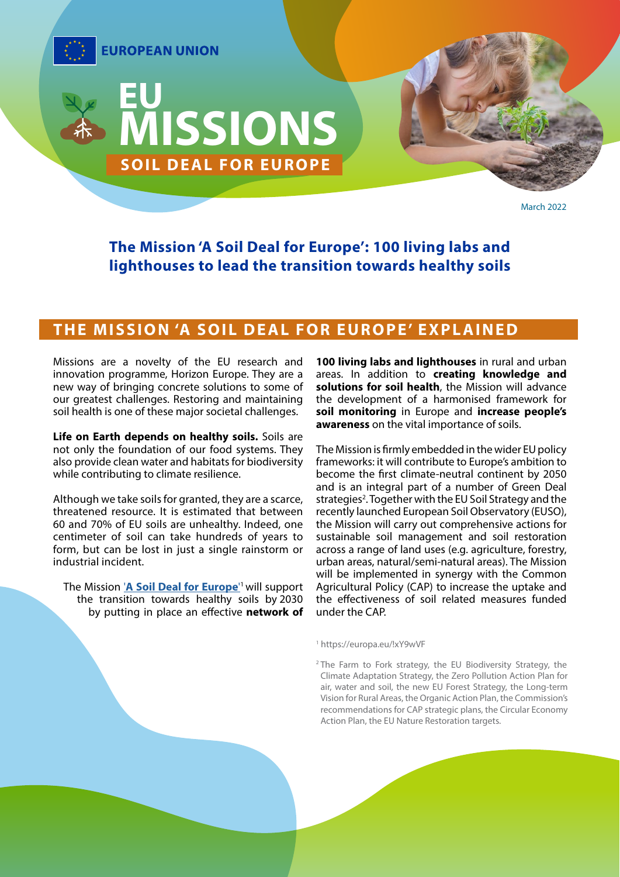

March 2022

**The Mission 'A Soil Deal for Europe': 100 living labs and lighthouses to lead the transition towards healthy soils**

### **THE MISSION 'A SOIL DEAL FOR EUROPE' EXPLAINED**

Missions are a novelty of the EU research and innovation programme, Horizon Europe. They are a new way of bringing concrete solutions to some of our greatest challenges. Restoring and maintaining soil health is one of these major societal challenges.

**Life on Earth depends on healthy soils.** Soils are not only the foundation of our food systems. They also provide clean water and habitats for biodiversity while contributing to climate resilience.

Although we take soils for granted, they are a scarce, threatened resource. It is estimated that between 60 and 70% of EU soils are unhealthy. Indeed, one centimeter of soil can take hundreds of years to form, but can be lost in just a single rainstorm or industrial incident.

The Mission '**[A Soil Deal for Europe](https://ec.europa.eu/info/research-and-innovation/funding/funding-opportunities/funding-programmes-and-open-calls/horizon-europe/eu-missions-horizon-europe/soil-health-and-food_en)**' 1 will support the transition towards healthy soils by 2030 by putting in place an effective **network of**  **100 living labs and lighthouses** in rural and urban areas. In addition to **creating knowledge and solutions for soil health**, the Mission will advance the development of a harmonised framework for **soil monitoring** in Europe and **increase people's awareness** on the vital importance of soils.

The Mission is firmly embedded in the wider EU policy frameworks: it will contribute to Europe's ambition to become the first climate-neutral continent by 2050 and is an integral part of a number of Green Deal strategies<sup>2</sup>. Together with the EU Soil Strategy and the recently launched European Soil Observatory (EUSO), the Mission will carry out comprehensive actions for sustainable soil management and soil restoration across a range of land uses (e.g. agriculture, forestry, urban areas, natural/semi-natural areas). The Mission will be implemented in synergy with the Common Agricultural Policy (CAP) to increase the uptake and the effectiveness of soil related measures funded under the CAP.

#### <sup>1</sup> https://europa.eu/!xY9wVF

<sup>2</sup> The Farm to Fork strategy, the EU Biodiversity Strategy, the Climate Adaptation Strategy, the Zero Pollution Action Plan for air, water and soil, the new EU Forest Strategy, the Long-term Vision for Rural Areas, the Organic Action Plan, the Commission's recommendations for CAP strategic plans, the Circular Economy Action Plan, the EU Nature Restoration targets.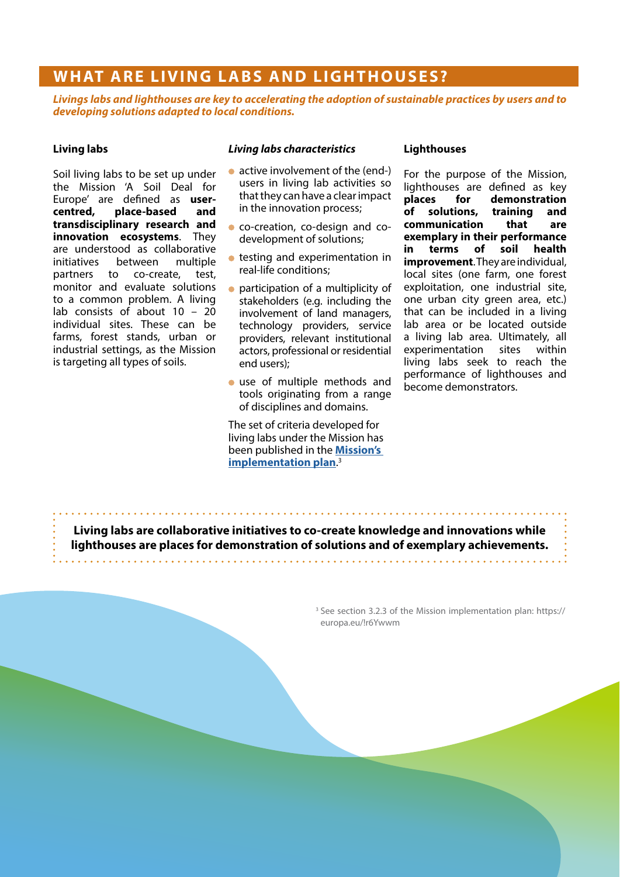## **WHAT ARE LIVING LABS AND LIGHTHOUSES?**

*Livings labs and lighthouses are key to accelerating the adoption of sustainable practices by users and to developing solutions adapted to local conditions.*

#### **Living labs**

Soil living labs to be set up under the Mission 'A Soil Deal for Europe' are defined as **user**centred, place-based **transdisciplinary research and innovation ecosystems**. They are understood as collaborative initiatives between multiple partners to co-create, test, monitor and evaluate solutions to a common problem. A living lab consists of about 10 – 20 individual sites. These can be farms, forest stands, urban or industrial settings, as the Mission is targeting all types of soils.

#### *Living labs characteristics*

- active involvement of the (end-) users in living lab activities so that they can have a clear impact in the innovation process;
- co-creation, co-design and codevelopment of solutions;
- **•** testing and experimentation in real-life conditions;
- participation of a multiplicity of stakeholders (e.g. including the involvement of land managers, technology providers, service providers, relevant institutional actors, professional or residential end users);
- use of multiple methods and tools originating from a range of disciplines and domains.

The set of criteria developed for living labs under the Mission has been published in the **[Mission's](https://ec.europa.eu/info/sites/default/files/research_and_innovation/funding/documents/soil_mission_implementation_plan_final_for_publication.pdf)  [implementation plan](https://ec.europa.eu/info/sites/default/files/research_and_innovation/funding/documents/soil_mission_implementation_plan_final_for_publication.pdf)**. 3

#### **Lighthouses**

For the purpose of the Mission, lighthouses are defined as key **places for demonstration of solutions, training and communication that are exemplary in their performance in terms of soil health improvement**. They are individual, local sites (one farm, one forest exploitation, one industrial site, one urban city green area, etc.) that can be included in a living lab area or be located outside a living lab area. Ultimately, all experimentation sites within living labs seek to reach the performance of lighthouses and become demonstrators.

**Living labs are collaborative initiatives to co-create knowledge and innovations while lighthouses are places for demonstration of solutions and of exemplary achievements.**

> <sup>3</sup> See section 3.2.3 of the Mission implementation plan: https:// europa.eu/!r6Ywwm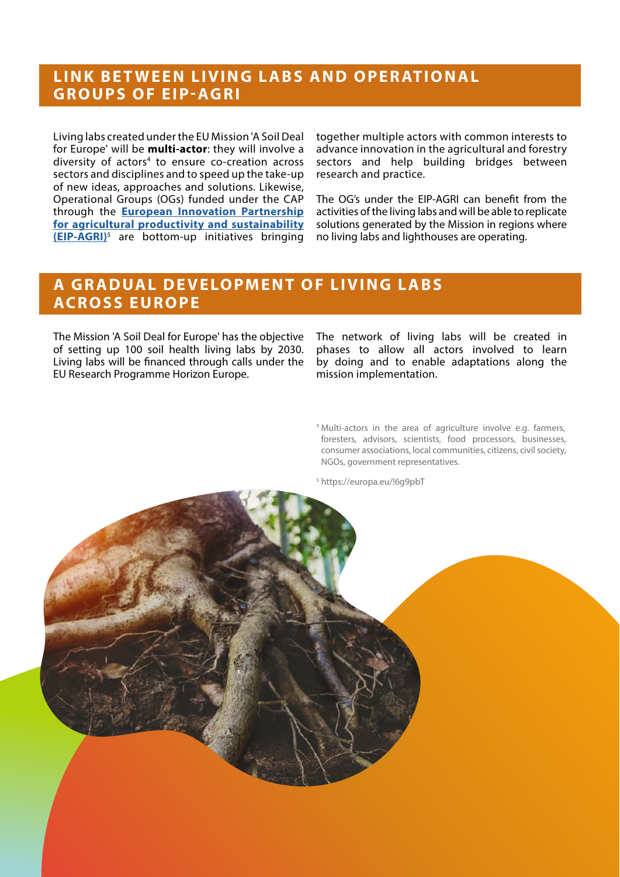### **LINK BETWEEN LIVING LABS AND OPERATIONAL GROUPS OF EIP-AGRI**

Living labs created under the EU Mission 'A Soil Deal for Europe' will be **multi-actor**: they will involve a diversity of actors<sup>4</sup> to ensure co-creation across sectors and disciplines and to speed up the take-up of new ideas, approaches and solutions. Likewise, Operational Groups (OGs) funded under the CAP through the **[European Innovation Partnership](https://ec.europa.eu/eip/agriculture/en/european-innovation-partnership-agricultural)  [for agricultural productivity and sustainability](https://ec.europa.eu/eip/agriculture/en/european-innovation-partnership-agricultural)  [\(EIP-AGRI\)](https://ec.europa.eu/eip/agriculture/en/european-innovation-partnership-agricultural)**<sup>5</sup> are bottom-up initiatives bringing together multiple actors with common interests to advance innovation in the agricultural and forestry sectors and help building bridges between research and practice.

The OG's under the EIP-AGRI can benefit from the activities of the living labs and will be able to replicate solutions generated by the Mission in regions where no living labs and lighthouses are operating.

### **A GRADUAL DEVELOPMENT OF LIVING LABS AC R O S S E U R O P E**

The Mission 'A Soil Deal for Europe' has the objective of setting up 100 soil health living labs by 2030. Living labs will be financed through calls under the EU Research Programme Horizon Europe.

The network of living labs will be created in phases to allow all actors involved to learn by doing and to enable adaptations along the mission implementation.

<sup>4</sup> Multi-actors in the area of agriculture involve e.g. farmers, foresters, advisors, scientists, food processors, businesses, consumer associations, local communities, citizens, civil society, NGOs, government representatives.

<sup>5</sup> https://europa.eu/!6g9pbT